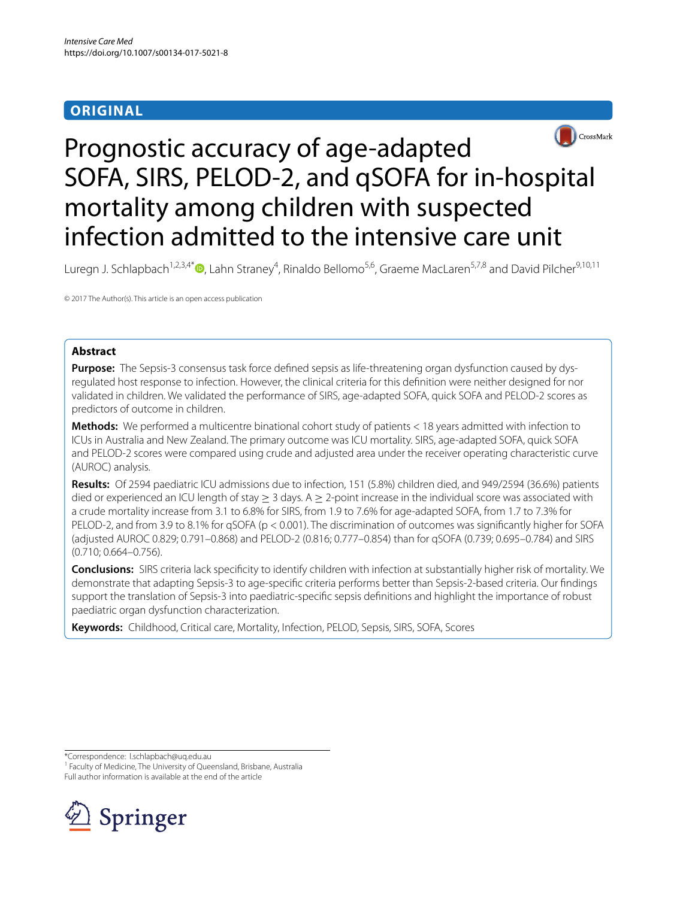# **ORIGINAL**



# Prognostic accuracy of age-adapted SOFA, SIRS, PELOD-2, and qSOFA for in-hospital mortality among children with suspected infection admitted to the intensive care unit

Luregn J. Schlapbach<sup>1,2,3,4\*</sup> (D[,](http://orcid.org/0000-0003-2281-2598) Lahn Straney<sup>4</sup>, Rinaldo Bellomo<sup>5,6</sup>, Graeme MacLaren<sup>5,7,8</sup> and David Pilcher<sup>9,10,11</sup>

© 2017 The Author(s). This article is an open access publication

# **Abstract**

**Purpose:** The Sepsis-3 consensus task force defned sepsis as life-threatening organ dysfunction caused by dysregulated host response to infection. However, the clinical criteria for this defnition were neither designed for nor validated in children. We validated the performance of SIRS, age-adapted SOFA, quick SOFA and PELOD-2 scores as predictors of outcome in children.

**Methods:** We performed a multicentre binational cohort study of patients < 18 years admitted with infection to ICUs in Australia and New Zealand. The primary outcome was ICU mortality. SIRS, age-adapted SOFA, quick SOFA and PELOD-2 scores were compared using crude and adjusted area under the receiver operating characteristic curve (AUROC) analysis.

**Results:** Of 2594 paediatric ICU admissions due to infection, 151 (5.8%) children died, and 949/2594 (36.6%) patients died or experienced an ICU length of stay  $\geq 3$  days. A  $\geq 2$ -point increase in the individual score was associated with a crude mortality increase from 3.1 to 6.8% for SIRS, from 1.9 to 7.6% for age-adapted SOFA, from 1.7 to 7.3% for PELOD-2, and from 3.9 to 8.1% for qSOFA (p < 0.001). The discrimination of outcomes was signifcantly higher for SOFA (adjusted AUROC 0.829; 0.791–0.868) and PELOD-2 (0.816; 0.777–0.854) than for qSOFA (0.739; 0.695–0.784) and SIRS (0.710; 0.664–0.756).

**Conclusions:** SIRS criteria lack specifcity to identify children with infection at substantially higher risk of mortality. We demonstrate that adapting Sepsis-3 to age-specifc criteria performs better than Sepsis-2-based criteria. Our fndings support the translation of Sepsis-3 into paediatric-specifc sepsis defnitions and highlight the importance of robust paediatric organ dysfunction characterization.

**Keywords:** Childhood, Critical care, Mortality, Infection, PELOD, Sepsis, SIRS, SOFA, Scores

\*Correspondence: l.schlapbach@uq.edu.au

<sup>1</sup> Faculty of Medicine, The University of Queensland, Brisbane, Australia Full author information is available at the end of the article

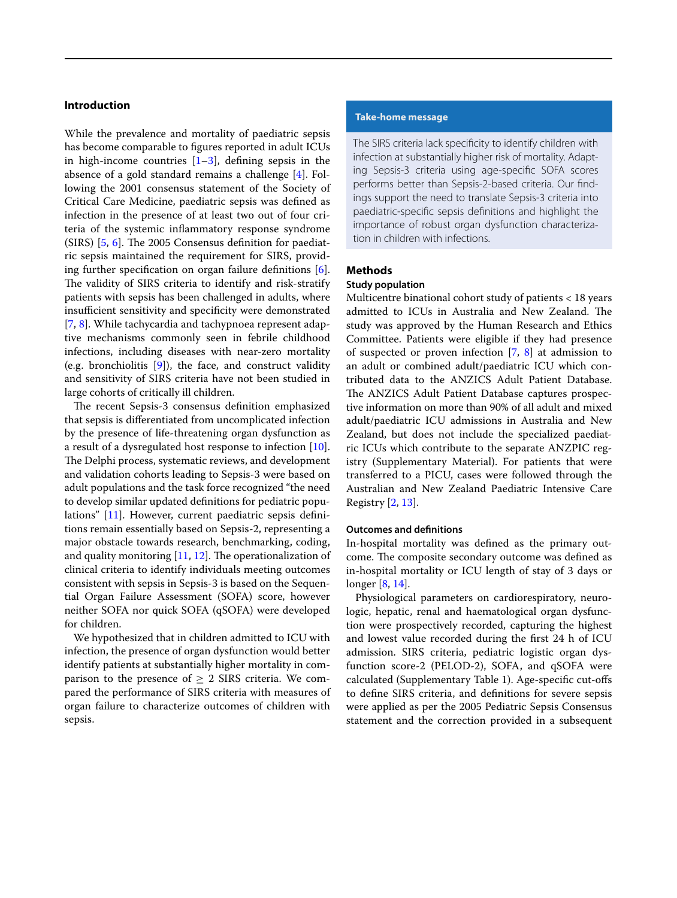# **Introduction**

While the prevalence and mortality of paediatric sepsis has become comparable to fgures reported in adult ICUs in high-income countries  $[1-3]$  $[1-3]$ , defining sepsis in the absence of a gold standard remains a challenge [[4\]](#page-8-2). Following the 2001 consensus statement of the Society of Critical Care Medicine, paediatric sepsis was defned as infection in the presence of at least two out of four criteria of the systemic infammatory response syndrome (SIRS)  $[5, 6]$  $[5, 6]$  $[5, 6]$  $[5, 6]$ . The 2005 Consensus definition for paediatric sepsis maintained the requirement for SIRS, providing further specification on organ failure definitions  $[6]$  $[6]$ . The validity of SIRS criteria to identify and risk-stratify patients with sepsis has been challenged in adults, where insufficient sensitivity and specificity were demonstrated [[7,](#page-8-5) [8](#page-8-6)]. While tachycardia and tachypnoea represent adaptive mechanisms commonly seen in febrile childhood infections, including diseases with near-zero mortality (e.g. bronchiolitis [\[9\]](#page-8-7)), the face, and construct validity and sensitivity of SIRS criteria have not been studied in large cohorts of critically ill children.

The recent Sepsis-3 consensus definition emphasized that sepsis is diferentiated from uncomplicated infection by the presence of life-threatening organ dysfunction as a result of a dysregulated host response to infection [\[10](#page-8-8)]. The Delphi process, systematic reviews, and development and validation cohorts leading to Sepsis-3 were based on adult populations and the task force recognized "the need to develop similar updated defnitions for pediatric populations" [[11\]](#page-8-9). However, current paediatric sepsis defnitions remain essentially based on Sepsis-2, representing a major obstacle towards research, benchmarking, coding, and quality monitoring  $[11, 12]$  $[11, 12]$  $[11, 12]$ . The operationalization of clinical criteria to identify individuals meeting outcomes consistent with sepsis in Sepsis-3 is based on the Sequential Organ Failure Assessment (SOFA) score, however neither SOFA nor quick SOFA (qSOFA) were developed for children.

We hypothesized that in children admitted to ICU with infection, the presence of organ dysfunction would better identify patients at substantially higher mortality in comparison to the presence of  $\geq$  2 SIRS criteria. We compared the performance of SIRS criteria with measures of organ failure to characterize outcomes of children with sepsis.

# **Take‑home message**

The SIRS criteria lack specifcity to identify children with infection at substantially higher risk of mortality. Adapting Sepsis-3 criteria using age-specifc SOFA scores performs better than Sepsis-2-based criteria. Our fndings support the need to translate Sepsis-3 criteria into paediatric-specifc sepsis defnitions and highlight the importance of robust organ dysfunction characterization in children with infections.

# **Methods**

# **Study population**

Multicentre binational cohort study of patients < 18 years admitted to ICUs in Australia and New Zealand. The study was approved by the Human Research and Ethics Committee. Patients were eligible if they had presence of suspected or proven infection  $[7, 8]$  $[7, 8]$  $[7, 8]$  $[7, 8]$  at admission to an adult or combined adult/paediatric ICU which contributed data to the ANZICS Adult Patient Database. The ANZICS Adult Patient Database captures prospective information on more than 90% of all adult and mixed adult/paediatric ICU admissions in Australia and New Zealand, but does not include the specialized paediatric ICUs which contribute to the separate ANZPIC registry (Supplementary Material). For patients that were transferred to a PICU, cases were followed through the Australian and New Zealand Paediatric Intensive Care Registry [[2,](#page-8-11) [13](#page-8-12)].

### **Outcomes and defnitions**

In-hospital mortality was defned as the primary outcome. The composite secondary outcome was defined as in-hospital mortality or ICU length of stay of 3 days or longer [\[8](#page-8-6), [14\]](#page-8-13).

Physiological parameters on cardiorespiratory, neurologic, hepatic, renal and haematological organ dysfunction were prospectively recorded, capturing the highest and lowest value recorded during the frst 24 h of ICU admission. SIRS criteria, pediatric logistic organ dysfunction score-2 (PELOD-2), SOFA, and qSOFA were calculated (Supplementary Table 1). Age-specifc cut-ofs to defne SIRS criteria, and defnitions for severe sepsis were applied as per the 2005 Pediatric Sepsis Consensus statement and the correction provided in a subsequent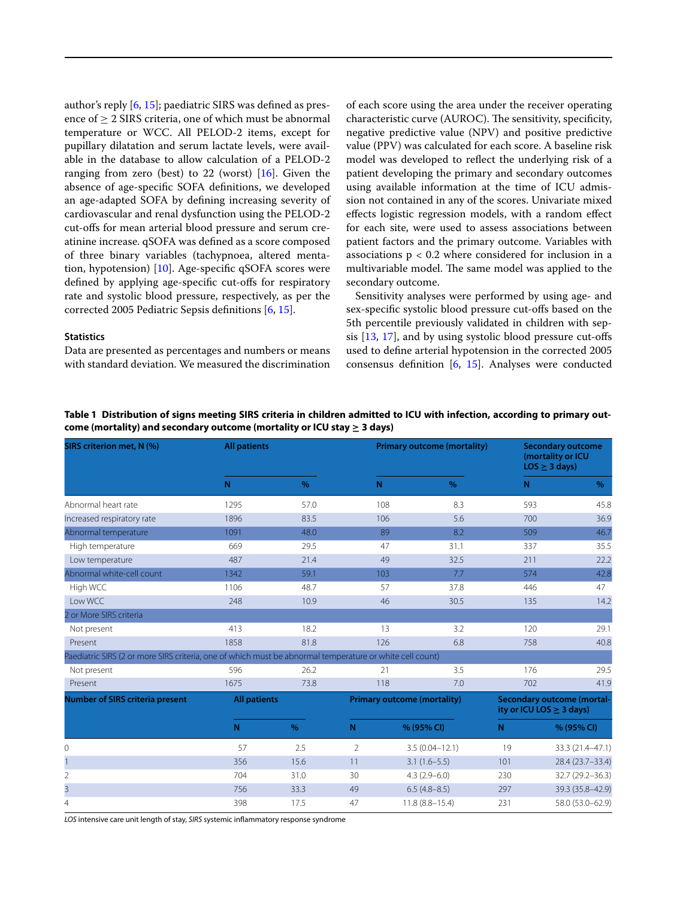author's reply [\[6](#page-8-4), [15](#page-8-14)]; paediatric SIRS was defned as presence of > 2 SIRS criteria, one of which must be abnormal temperature or WCC. All PELOD-2 items, except for pupillary dilatation and serum lactate levels, were available in the database to allow calculation of a PELOD-2 ranging from zero (best) to 22 (worst) [\[16](#page-8-15)]. Given the absence of age-specifc SOFA defnitions, we developed an age-adapted SOFA by defning increasing severity of cardiovascular and renal dysfunction using the PELOD-2 cut-ofs for mean arterial blood pressure and serum creatinine increase. qSOFA was defned as a score composed of three binary variables (tachypnoea, altered mentation, hypotension) [\[10](#page-8-8)]. Age-specifc qSOFA scores were defned by applying age-specifc cut-ofs for respiratory rate and systolic blood pressure, respectively, as per the corrected 2005 Pediatric Sepsis defnitions [\[6](#page-8-4), [15\]](#page-8-14).

#### **Statistics**

Data are presented as percentages and numbers or means with standard deviation. We measured the discrimination of each score using the area under the receiver operating characteristic curve (AUROC). The sensitivity, specificity, negative predictive value (NPV) and positive predictive value (PPV) was calculated for each score. A baseline risk model was developed to refect the underlying risk of a patient developing the primary and secondary outcomes using available information at the time of ICU admission not contained in any of the scores. Univariate mixed efects logistic regression models, with a random efect for each site, were used to assess associations between patient factors and the primary outcome. Variables with associations  $p < 0.2$  where considered for inclusion in a multivariable model. The same model was applied to the secondary outcome.

Sensitivity analyses were performed by using age- and sex-specifc systolic blood pressure cut-ofs based on the 5th percentile previously validated in children with sepsis [\[13](#page-8-12), [17](#page-8-16)], and by using systolic blood pressure cut-ofs used to defne arterial hypotension in the corrected 2005 consensus defnition [[6,](#page-8-4) [15](#page-8-14)]. Analyses were conducted

| SIRS criterion met, N (%)                                                                                | <b>All patients</b> |      |                                    |                    | <b>Primary outcome (mortality)</b> | <b>Secondary outcome</b><br>(mortality or ICU<br>$LOS \geq 3 days$ |                  |
|----------------------------------------------------------------------------------------------------------|---------------------|------|------------------------------------|--------------------|------------------------------------|--------------------------------------------------------------------|------------------|
|                                                                                                          | $\mathsf{N}$        | $\%$ | N                                  |                    | $\%$                               | N                                                                  | %                |
| Abnormal heart rate                                                                                      | 1295                | 57.0 |                                    | 108                | 8.3                                | 593                                                                | 45.8             |
| Increased respiratory rate                                                                               | 1896                | 83.5 |                                    | 106                | 5.6                                | 700                                                                | 36.9             |
| Abnormal temperature                                                                                     | 1091                | 48.0 |                                    | 89                 | 8.2                                | 509                                                                | 46.7             |
| High temperature                                                                                         | 669                 | 29.5 |                                    | 47                 | 31.1                               | 337                                                                | 35.5             |
| Low temperature                                                                                          | 487                 | 21.4 |                                    | 49                 | 32.5                               | 211                                                                | 22.2             |
| Abnormal white-cell count                                                                                | 1342                | 59.1 |                                    | 103                | 7.7                                | 574                                                                | 42.8             |
| High WCC                                                                                                 | 1106                | 48.7 |                                    | 57                 | 37.8                               | 446                                                                | 47               |
| Low WCC                                                                                                  | 248                 | 10.9 |                                    | 46                 | 30.5                               | 135                                                                | 14.2             |
| 2 or More SIRS criteria                                                                                  |                     |      |                                    |                    |                                    |                                                                    |                  |
| Not present                                                                                              | 413                 | 18.2 |                                    | 13                 | 3.2                                | 120                                                                | 29.1             |
| Present                                                                                                  | 1858                | 81.8 |                                    | 126                | 6.8                                | 758                                                                | 40.8             |
| Paediatric SIRS (2 or more SIRS criteria, one of which must be abnormal temperature or white cell count) |                     |      |                                    |                    |                                    |                                                                    |                  |
| Not present                                                                                              | 596                 | 26.2 |                                    | 21                 | 3.5                                | 176                                                                | 29.5             |
| Present                                                                                                  | 1675                | 73.8 |                                    | 118                | 7.0                                | 702                                                                | 41.9             |
| <b>Number of SIRS criteria present</b>                                                                   | <b>All patients</b> |      | <b>Primary outcome (mortality)</b> |                    |                                    | <b>Secondary outcome (mortal-</b><br>ity or ICU LOS $\geq$ 3 days) |                  |
|                                                                                                          | N                   | $\%$ | N                                  |                    | % (95% CI)                         | N                                                                  | % (95% CI)       |
| 0                                                                                                        | 57                  | 2.5  | 2                                  | $3.5(0.04 - 12.1)$ |                                    | 19                                                                 | 33.3 (21.4-47.1) |
| $\mathbf{1}$                                                                                             | 356                 | 15.6 | 11                                 | $3.1(1.6-5.5)$     |                                    | 101                                                                | 28.4 (23.7-33.4) |
| $\overline{2}$                                                                                           | 704                 | 31.0 | 30                                 | $4.3(2.9 - 6.0)$   |                                    | 230                                                                | 32.7 (29.2-36.3) |
| 3                                                                                                        | 756                 | 33.3 | 49                                 | $6.5(4.8-8.5)$     |                                    | 297                                                                | 39.3 (35.8-42.9) |
| $\overline{4}$                                                                                           | 398                 | 17.5 | 47                                 |                    | $11.8(8.8 - 15.4)$                 | 231                                                                | 58.0 (53.0-62.9) |

<span id="page-2-0"></span>**Table 1 Distribution of signs meeting SIRS criteria in children admitted to ICU with infection, according to primary out‑ come (mortality) and secondary outcome (mortality or ICU stay ≥ 3 days)**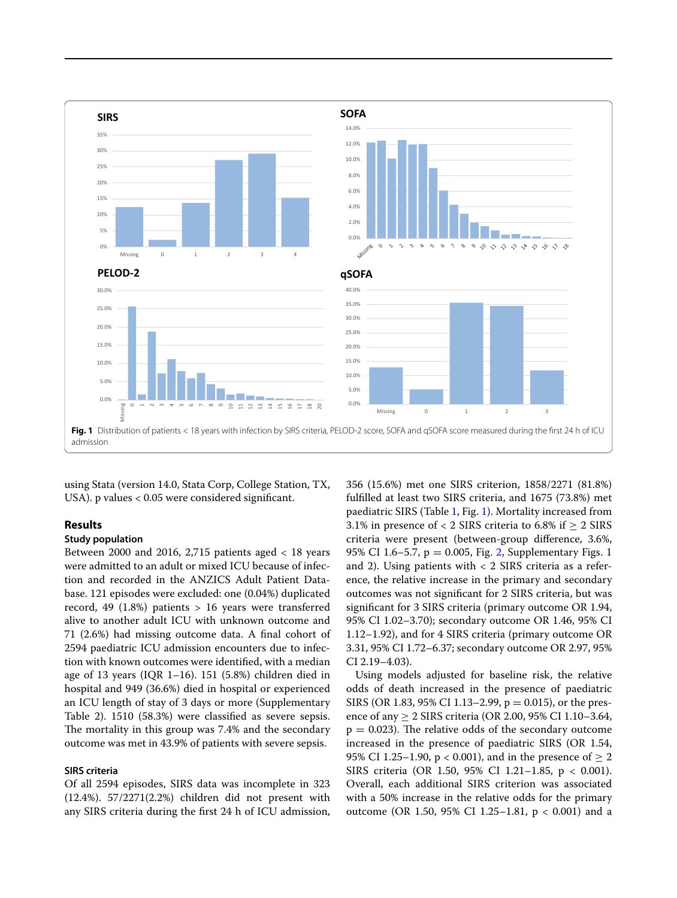

<span id="page-3-0"></span>using Stata (version 14.0, Stata Corp, College Station, TX, USA). p values < 0.05 were considered signifcant.

# **Results**

# **Study population**

Between 2000 and 2016, 2,715 patients aged < 18 years were admitted to an adult or mixed ICU because of infection and recorded in the ANZICS Adult Patient Database. 121 episodes were excluded: one (0.04%) duplicated record, 49 (1.8%) patients  $> 16$  years were transferred alive to another adult ICU with unknown outcome and 71 (2.6%) had missing outcome data. A fnal cohort of 2594 paediatric ICU admission encounters due to infection with known outcomes were identifed, with a median age of 13 years (IQR 1–16). 151 (5.8%) children died in hospital and 949 (36.6%) died in hospital or experienced an ICU length of stay of 3 days or more (Supplementary Table 2). 1510 (58.3%) were classifed as severe sepsis. The mortality in this group was 7.4% and the secondary outcome was met in 43.9% of patients with severe sepsis.

### **SIRS criteria**

Of all 2594 episodes, SIRS data was incomplete in 323 (12.4%). 57/2271(2.2%) children did not present with any SIRS criteria during the frst 24 h of ICU admission, 356 (15.6%) met one SIRS criterion, 1858/2271 (81.8%) fulflled at least two SIRS criteria, and 1675 (73.8%) met paediatric SIRS (Table [1](#page-2-0), Fig. [1\)](#page-3-0). Mortality increased from 3.1% in presence of < 2 SIRS criteria to 6.8% if  $\geq$  2 SIRS criteria were present (between-group diference, 3.6%, 95% CI 1.6–5.7,  $p = 0.005$ , Fig. [2,](#page-4-0) Supplementary Figs. 1 and 2). Using patients with  $<$  2 SIRS criteria as a reference, the relative increase in the primary and secondary outcomes was not signifcant for 2 SIRS criteria, but was signifcant for 3 SIRS criteria (primary outcome OR 1.94, 95% CI 1.02–3.70); secondary outcome OR 1.46, 95% CI 1.12–1.92), and for 4 SIRS criteria (primary outcome OR 3.31, 95% CI 1.72–6.37; secondary outcome OR 2.97, 95% CI 2.19–4.03).

Using models adjusted for baseline risk, the relative odds of death increased in the presence of paediatric SIRS (OR 1.83, 95% CI 1.13–2.99,  $p = 0.015$ ), or the presence of any  $\geq 2$  SIRS criteria (OR 2.00, 95% CI 1.10–3.64,  $p = 0.023$ ). The relative odds of the secondary outcome increased in the presence of paediatric SIRS (OR 1.54, 95% CI 1.25–1.90,  $p < 0.001$ ), and in the presence of  $> 2$ SIRS criteria (OR 1.50, 95% CI 1.21-1.85, p < 0.001). Overall, each additional SIRS criterion was associated with a 50% increase in the relative odds for the primary outcome (OR 1.50, 95% CI 1.25-1.81,  $p < 0.001$ ) and a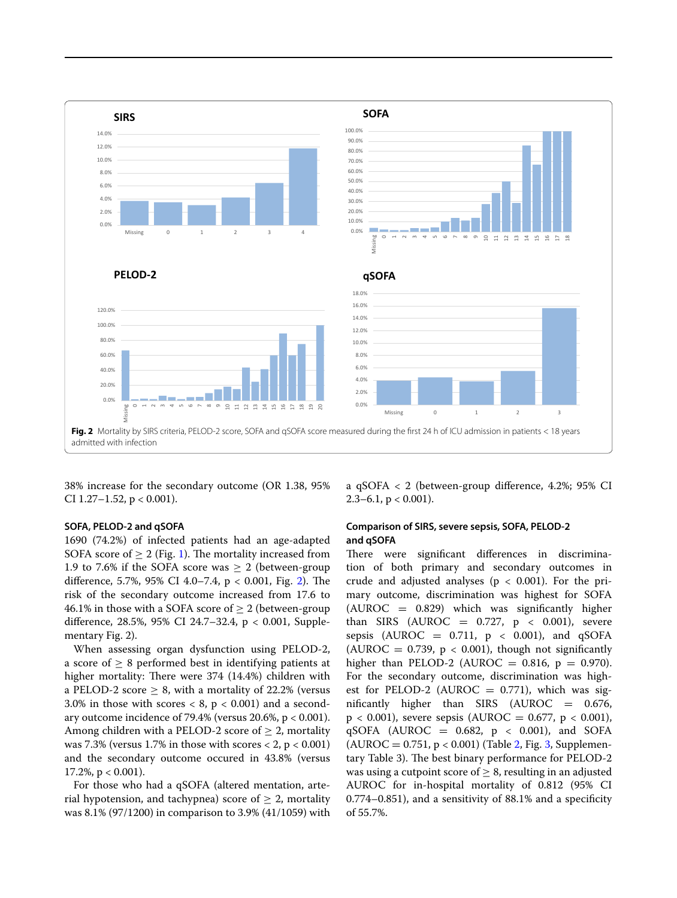

<span id="page-4-0"></span>38% increase for the secondary outcome (OR 1.38, 95% CI 1.27 $-1.52$ , p < 0.001).

#### **SOFA, PELOD‑2 and qSOFA**

1690 (74.2%) of infected patients had an age-adapted SOFA score of  $\geq 2$  (Fig. [1\)](#page-3-0). The mortality increased from 1.9 to 7.6% if the SOFA score was  $\geq 2$  (between-group difference, 5.7%, 95% CI 4.0-7.4,  $p < 0.001$ , Fig. [2](#page-4-0)). The risk of the secondary outcome increased from 17.6 to 46.1% in those with a SOFA score of  $\geq 2$  (between-group difference, 28.5%, 95% CI 24.7–32.4, p < 0.001, Supplementary Fig. 2).

When assessing organ dysfunction using PELOD-2, a score of  $\geq 8$  performed best in identifying patients at higher mortality: There were  $374$  (14.4%) children with a PELOD-2 score  $\geq 8$ , with a mortality of 22.2% (versus 3.0% in those with scores  $< 8$ ,  $p < 0.001$ ) and a secondary outcome incidence of 79.4% (versus  $20.6$ %, p < 0.001). Among children with a PELOD-2 score of  $\geq 2$ , mortality was  $7.3\%$  (versus 1.7% in those with scores  $< 2$ , p  $< 0.001$ ) and the secondary outcome occured in 43.8% (versus  $17.2\%$ , p < 0.001).

For those who had a qSOFA (altered mentation, arterial hypotension, and tachypnea) score of  $\geq 2$ , mortality was 8.1% (97/1200) in comparison to 3.9% (41/1059) with a qSOFA < 2 (between-group diference, 4.2%; 95% CI 2.3–6.1,  $p < 0.001$ ).

## **Comparison of SIRS, severe sepsis, SOFA, PELOD‑2 and qSOFA**

There were significant differences in discrimination of both primary and secondary outcomes in crude and adjusted analyses ( $p < 0.001$ ). For the primary outcome, discrimination was highest for SOFA  $(AUROC = 0.829)$  which was significantly higher than SIRS (AUROC =  $0.727$ ,  $p < 0.001$ ), severe sepsis (AUROC =  $0.711$ ,  $p < 0.001$ ), and qSOFA (AUROC =  $0.739$ ,  $p < 0.001$ ), though not significantly higher than PELOD-2 (AUROC =  $0.816$ , p =  $0.970$ ). For the secondary outcome, discrimination was highest for PELOD-2 (AUROC  $= 0.771$ ), which was significantly higher than SIRS (AUROC  $=$  0.676,  $p < 0.001$ ), severe sepsis (AUROC = 0.677,  $p < 0.001$ ), qSOFA (AUROC =  $0.682$ ,  $p < 0.001$ ), and SOFA  $(AUROC = 0.751, p < 0.001)$  (Table [2,](#page-5-0) Fig. [3](#page-6-0), Supplementary Table 3). The best binary performance for PELOD-2 was using a cutpoint score of  $\geq 8$ , resulting in an adjusted AUROC for in-hospital mortality of 0.812 (95% CI 0.774–0.851), and a sensitivity of 88.1% and a specifcity of 55.7%.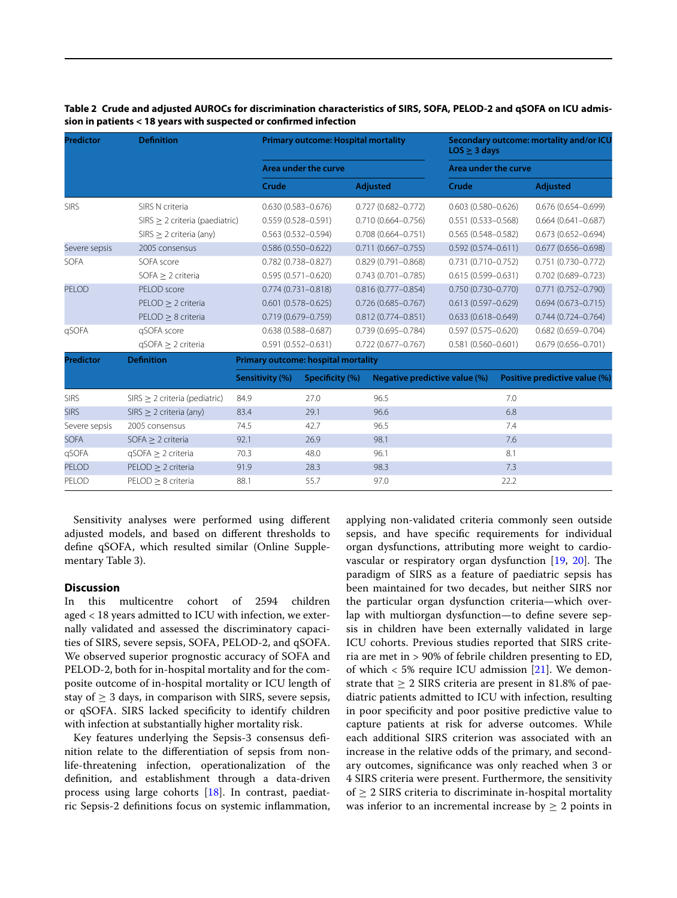| <b>Predictor</b> | <b>Definition</b>                   |                                     | <b>Primary outcome: Hospital mortality</b><br>Area under the curve |                        |                        |                               | Secondary outcome: mortality and/or ICU<br>$LOS \geq 3$ days<br>Area under the curve |                               |  |
|------------------|-------------------------------------|-------------------------------------|--------------------------------------------------------------------|------------------------|------------------------|-------------------------------|--------------------------------------------------------------------------------------|-------------------------------|--|
|                  |                                     |                                     |                                                                    |                        |                        |                               |                                                                                      |                               |  |
|                  |                                     | Crude                               |                                                                    | Adjusted               |                        | Crude                         |                                                                                      | <b>Adjusted</b>               |  |
| <b>SIRS</b>      | SIRS N criteria                     |                                     | $0.630(0.583 - 0.676)$                                             |                        | $0.727(0.682 - 0.772)$ |                               | $0.603(0.580 - 0.626)$                                                               | $0.676(0.654 - 0.699)$        |  |
|                  | $SIRS \geq 2$ criteria (paediatric) |                                     | $0.559(0.528 - 0.591)$                                             |                        | $0.710(0.664 - 0.756)$ | $0.551(0.533 - 0.568)$        |                                                                                      | $0.664(0.641 - 0.687)$        |  |
|                  | $SIRS \geq 2$ criteria (any)        |                                     | $0.563(0.532 - 0.594)$                                             |                        | $0.708(0.664 - 0.751)$ |                               | $0.565(0.548 - 0.582)$                                                               | $0.673(0.652 - 0.694)$        |  |
| Severe sepsis    | 2005 consensus                      |                                     | $0.586(0.550 - 0.622)$                                             |                        | $0.711(0.667 - 0.755)$ |                               | $0.592(0.574 - 0.611)$                                                               | $0.677(0.656 - 0.698)$        |  |
| <b>SOFA</b>      | SOFA score                          |                                     | $0.782(0.738 - 0.827)$                                             |                        | $0.829(0.791 - 0.868)$ |                               | $0.731(0.710 - 0.752)$                                                               | $0.751(0.730 - 0.772)$        |  |
|                  | $SOFA > 2$ criteria                 |                                     | $0.595(0.571 - 0.620)$                                             |                        | $0.743(0.701 - 0.785)$ |                               | $0.615(0.599 - 0.631)$                                                               | $0.702(0.689 - 0.723)$        |  |
| PELOD            | PELOD score                         |                                     | $0.774(0.731 - 0.818)$                                             |                        | $0.816(0.777 - 0.854)$ |                               | $0.750(0.730 - 0.770)$                                                               | $0.771(0.752 - 0.790)$        |  |
|                  | $PELOD \geq 2$ criteria             |                                     | $0.601(0.578 - 0.625)$                                             |                        | $0.726(0.685 - 0.767)$ | $0.613(0.597 - 0.629)$        |                                                                                      | $0.694(0.673 - 0.715)$        |  |
|                  | $PELOD > 8$ criteria                |                                     | $0.719(0.679 - 0.759)$                                             |                        | $0.812(0.774 - 0.851)$ | $0.633(0.618 - 0.649)$        |                                                                                      | $0.744(0.724 - 0.764)$        |  |
| qSOFA            | qSOFA score                         |                                     | $0.638(0.588 - 0.687)$                                             | $0.739(0.695 - 0.784)$ |                        | $0.597(0.575 - 0.620)$        |                                                                                      | $0.682(0.659 - 0.704)$        |  |
|                  | $qSOFA \geq 2$ criteria             |                                     | $0.591(0.552 - 0.631)$                                             |                        | $0.722(0.677 - 0.767)$ | $0.581(0.560 - 0.601)$        |                                                                                      | $0.679(0.656 - 0.701)$        |  |
| <b>Predictor</b> | <b>Definition</b>                   | Primary outcome: hospital mortality |                                                                    |                        |                        |                               |                                                                                      |                               |  |
|                  |                                     | Sensitivity (%)                     | Specificity (%)                                                    |                        |                        | Negative predictive value (%) |                                                                                      | Positive predictive value (%) |  |
| <b>SIRS</b>      | $SIRS$ > 2 criteria (pediatric)     | 84.9                                | 27.0                                                               | 96.5                   |                        |                               | 7.0                                                                                  |                               |  |
| <b>SIRS</b>      | $SIRS$ > 2 criteria (any)           | 83.4                                | 29.1                                                               | 96.6                   |                        |                               | 6.8                                                                                  |                               |  |
| Severe sepsis    | 2005 consensus                      | 74.5                                | 42.7                                                               | 96.5                   |                        |                               | 7.4                                                                                  |                               |  |
| <b>SOFA</b>      | $SOFA \geq 2$ criteria              | 92.1                                | 26.9                                                               | 98.1                   |                        |                               | 7.6                                                                                  |                               |  |
| qSOFA            | $qSOFA \geq 2$ criteria             | 70.3                                | 48.0                                                               | 96.1                   |                        |                               | 8.1                                                                                  |                               |  |
| <b>PELOD</b>     | $PELOD > 2$ criteria                | 91.9                                | 28.3                                                               | 98.3                   |                        |                               | 7.3                                                                                  |                               |  |
| PELOD            | $PELOD > 8$ criteria                | 88.1                                | 55.7                                                               | 97.0                   |                        |                               | 22.2                                                                                 |                               |  |

<span id="page-5-0"></span>**Table 2 Crude and adjusted AUROCs for discrimination characteristics of SIRS, SOFA, PELOD-2 and qSOFA on ICU admis‑ sion in patients < 18 years with suspected or confrmed infection**

Sensitivity analyses were performed using diferent adjusted models, and based on diferent thresholds to defne qSOFA, which resulted similar (Online Supplementary Table 3).

# **Discussion**

In this multicentre cohort of 2594 children aged < 18 years admitted to ICU with infection, we externally validated and assessed the discriminatory capacities of SIRS, severe sepsis, SOFA, PELOD-2, and qSOFA. We observed superior prognostic accuracy of SOFA and PELOD-2, both for in-hospital mortality and for the composite outcome of in-hospital mortality or ICU length of stay of  $\geq 3$  days, in comparison with SIRS, severe sepsis, or qSOFA. SIRS lacked specifcity to identify children with infection at substantially higher mortality risk.

Key features underlying the Sepsis-3 consensus defnition relate to the diferentiation of sepsis from nonlife-threatening infection, operationalization of the defnition, and establishment through a data-driven process using large cohorts [[18\]](#page-8-17). In contrast, paediatric Sepsis-2 defnitions focus on systemic infammation,

applying non-validated criteria commonly seen outside sepsis, and have specifc requirements for individual organ dysfunctions, attributing more weight to cardiovascular or respiratory organ dysfunction  $[19, 20]$  $[19, 20]$  $[19, 20]$  $[19, 20]$ . The paradigm of SIRS as a feature of paediatric sepsis has been maintained for two decades, but neither SIRS nor the particular organ dysfunction criteria—which overlap with multiorgan dysfunction—to defne severe sepsis in children have been externally validated in large ICU cohorts. Previous studies reported that SIRS criteria are met in > 90% of febrile children presenting to ED, of which  $<$  5% require ICU admission [[21](#page-8-20)]. We demonstrate that  $\geq 2$  SIRS criteria are present in 81.8% of paediatric patients admitted to ICU with infection, resulting in poor specifcity and poor positive predictive value to capture patients at risk for adverse outcomes. While each additional SIRS criterion was associated with an increase in the relative odds of the primary, and secondary outcomes, signifcance was only reached when 3 or 4 SIRS criteria were present. Furthermore, the sensitivity of  $\geq$  2 SIRS criteria to discriminate in-hospital mortality was inferior to an incremental increase by  $\geq 2$  points in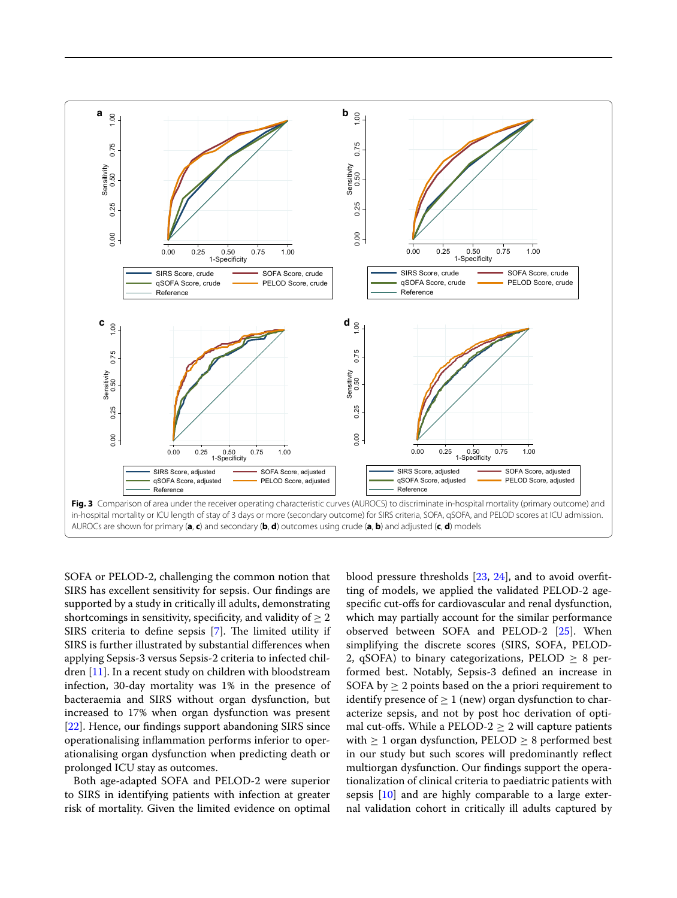

<span id="page-6-0"></span>SOFA or PELOD-2, challenging the common notion that SIRS has excellent sensitivity for sepsis. Our fndings are supported by a study in critically ill adults, demonstrating shortcomings in sensitivity, specificity, and validity of  $\geq 2$ SIRS criteria to define sepsis  $[7]$  $[7]$ . The limited utility if SIRS is further illustrated by substantial diferences when applying Sepsis-3 versus Sepsis-2 criteria to infected children [\[11\]](#page-8-9). In a recent study on children with bloodstream infection, 30-day mortality was 1% in the presence of bacteraemia and SIRS without organ dysfunction, but increased to 17% when organ dysfunction was present [[22\]](#page-8-21). Hence, our findings support abandoning SIRS since operationalising infammation performs inferior to operationalising organ dysfunction when predicting death or prolonged ICU stay as outcomes.

Both age-adapted SOFA and PELOD-2 were superior to SIRS in identifying patients with infection at greater risk of mortality. Given the limited evidence on optimal

blood pressure thresholds [[23,](#page-8-22) [24](#page-8-23)], and to avoid overftting of models, we applied the validated PELOD-2 agespecifc cut-ofs for cardiovascular and renal dysfunction, which may partially account for the similar performance observed between SOFA and PELOD-2 [[25](#page-9-0)]. When simplifying the discrete scores (SIRS, SOFA, PELOD-2, qSOFA) to binary categorizations, PELOD  $\geq 8$  performed best. Notably, Sepsis-3 defned an increase in SOFA by  $\geq 2$  points based on the a priori requirement to identify presence of  $\geq 1$  (new) organ dysfunction to characterize sepsis, and not by post hoc derivation of optimal cut-offs. While a  $PELOD-2 > 2$  will capture patients with  $\geq 1$  organ dysfunction, PELOD  $\geq 8$  performed best in our study but such scores will predominantly refect multiorgan dysfunction. Our fndings support the operationalization of clinical criteria to paediatric patients with sepsis [[10\]](#page-8-8) and are highly comparable to a large external validation cohort in critically ill adults captured by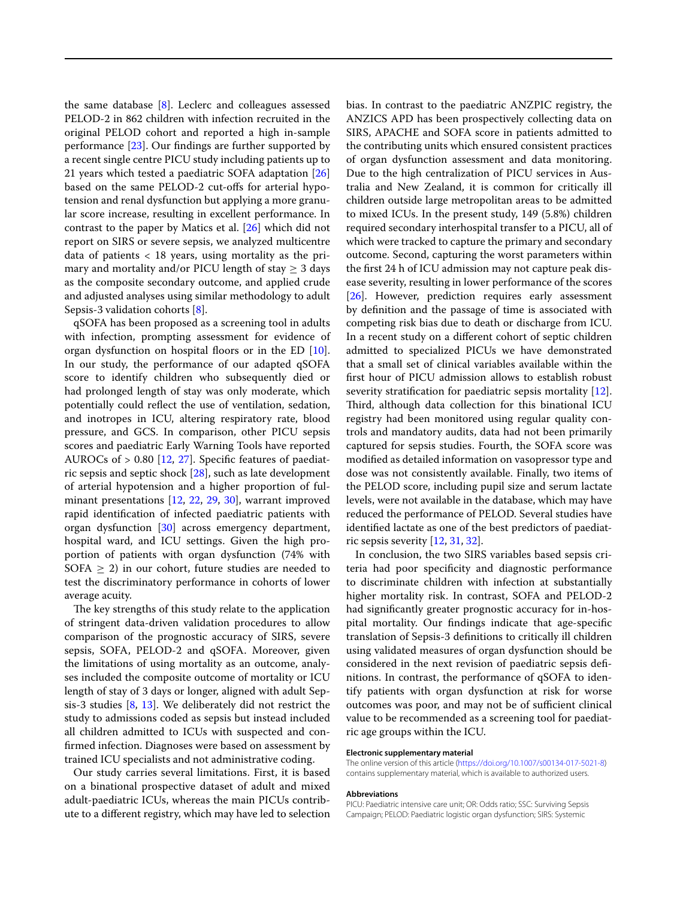the same database [\[8\]](#page-8-6). Leclerc and colleagues assessed PELOD-2 in 862 children with infection recruited in the original PELOD cohort and reported a high in-sample performance [\[23](#page-8-22)]. Our fndings are further supported by a recent single centre PICU study including patients up to 21 years which tested a paediatric SOFA adaptation [[26](#page-9-1)] based on the same PELOD-2 cut-ofs for arterial hypotension and renal dysfunction but applying a more granular score increase, resulting in excellent performance. In contrast to the paper by Matics et al. [[26](#page-9-1)] which did not report on SIRS or severe sepsis, we analyzed multicentre data of patients  $<$  18 years, using mortality as the primary and mortality and/or PICU length of stay  $\geq 3$  days as the composite secondary outcome, and applied crude and adjusted analyses using similar methodology to adult Sepsis-3 validation cohorts [\[8](#page-8-6)].

qSOFA has been proposed as a screening tool in adults with infection, prompting assessment for evidence of organ dysfunction on hospital floors or in the ED [\[10](#page-8-8)]. In our study, the performance of our adapted qSOFA score to identify children who subsequently died or had prolonged length of stay was only moderate, which potentially could refect the use of ventilation, sedation, and inotropes in ICU, altering respiratory rate, blood pressure, and GCS. In comparison, other PICU sepsis scores and paediatric Early Warning Tools have reported AUROCs of > 0.80 [[12](#page-8-10), [27\]](#page-9-2). Specifc features of paediatric sepsis and septic shock [\[28](#page-9-3)], such as late development of arterial hypotension and a higher proportion of fulminant presentations [\[12,](#page-8-10) [22](#page-8-21), [29,](#page-9-4) [30](#page-9-5)], warrant improved rapid identifcation of infected paediatric patients with organ dysfunction [[30\]](#page-9-5) across emergency department, hospital ward, and ICU settings. Given the high proportion of patients with organ dysfunction (74% with SOFA  $\geq$  2) in our cohort, future studies are needed to test the discriminatory performance in cohorts of lower average acuity.

The key strengths of this study relate to the application of stringent data-driven validation procedures to allow comparison of the prognostic accuracy of SIRS, severe sepsis, SOFA, PELOD-2 and qSOFA. Moreover, given the limitations of using mortality as an outcome, analyses included the composite outcome of mortality or ICU length of stay of 3 days or longer, aligned with adult Sepsis-3 studies [\[8,](#page-8-6) [13](#page-8-12)]. We deliberately did not restrict the study to admissions coded as sepsis but instead included all children admitted to ICUs with suspected and confrmed infection. Diagnoses were based on assessment by trained ICU specialists and not administrative coding.

Our study carries several limitations. First, it is based on a binational prospective dataset of adult and mixed adult-paediatric ICUs, whereas the main PICUs contribute to a diferent registry, which may have led to selection bias. In contrast to the paediatric ANZPIC registry, the ANZICS APD has been prospectively collecting data on SIRS, APACHE and SOFA score in patients admitted to the contributing units which ensured consistent practices of organ dysfunction assessment and data monitoring. Due to the high centralization of PICU services in Australia and New Zealand, it is common for critically ill children outside large metropolitan areas to be admitted to mixed ICUs. In the present study, 149 (5.8%) children required secondary interhospital transfer to a PICU, all of which were tracked to capture the primary and secondary outcome. Second, capturing the worst parameters within the frst 24 h of ICU admission may not capture peak disease severity, resulting in lower performance of the scores [[26\]](#page-9-1). However, prediction requires early assessment by defnition and the passage of time is associated with competing risk bias due to death or discharge from ICU. In a recent study on a diferent cohort of septic children admitted to specialized PICUs we have demonstrated that a small set of clinical variables available within the frst hour of PICU admission allows to establish robust severity stratification for paediatric sepsis mortality [\[12](#page-8-10)]. Third, although data collection for this binational ICU registry had been monitored using regular quality controls and mandatory audits, data had not been primarily captured for sepsis studies. Fourth, the SOFA score was modifed as detailed information on vasopressor type and dose was not consistently available. Finally, two items of the PELOD score, including pupil size and serum lactate levels, were not available in the database, which may have reduced the performance of PELOD. Several studies have identifed lactate as one of the best predictors of paediatric sepsis severity  $[12, 31, 32]$  $[12, 31, 32]$  $[12, 31, 32]$  $[12, 31, 32]$  $[12, 31, 32]$ .

In conclusion, the two SIRS variables based sepsis criteria had poor specifcity and diagnostic performance to discriminate children with infection at substantially higher mortality risk. In contrast, SOFA and PELOD-2 had signifcantly greater prognostic accuracy for in-hospital mortality. Our fndings indicate that age-specifc translation of Sepsis-3 defnitions to critically ill children using validated measures of organ dysfunction should be considered in the next revision of paediatric sepsis defnitions. In contrast, the performance of qSOFA to identify patients with organ dysfunction at risk for worse outcomes was poor, and may not be of sufficient clinical value to be recommended as a screening tool for paediatric age groups within the ICU.

#### **Electronic supplementary material**

The online version of this article ([https://doi.org/10.1007/s00134-017-5021-8\)](https://doi.org/10.1007/s00134-017-5021-8) contains supplementary material, which is available to authorized users.

#### **Abbreviations**

PICU: Paediatric intensive care unit; OR: Odds ratio; SSC: Surviving Sepsis Campaign; PELOD: Paediatric logistic organ dysfunction; SIRS: Systemic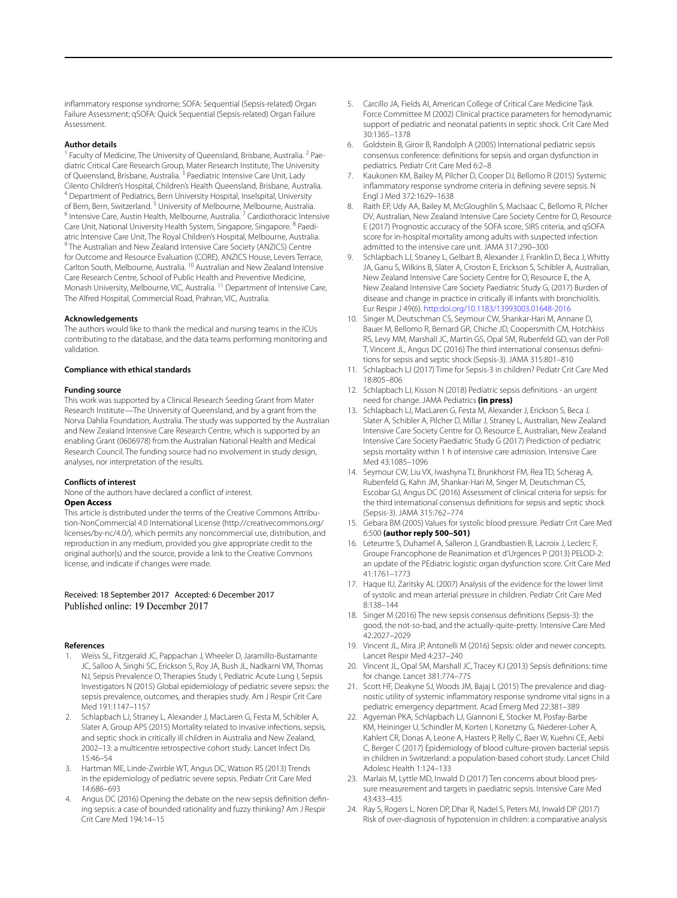infammatory response syndrome; SOFA: Sequential (Sepsis-related) Organ Failure Assessment; qSOFA: Quick Sequential (Sepsis-related) Organ Failure Assessment.

#### **Author details**

Faculty of Medicine, The University of Queensland, Brisbane, Australia. <sup>2</sup> Paediatric Critical Care Research Group, Mater Research Institute, The University of Queensland, Brisbane, Australia. <sup>3</sup> Paediatric Intensive Care Unit, Lady Cilento Children's Hospital, Children's Health Queensland, Brisbane, Australia. <sup>4</sup> Department of Pediatrics, Bern University Hospital, Inselspital, University of Bern, Bern, Switzerland. <sup>5</sup> University of Melbourne, Melbourne, Australia.  $6$  Intensive Care, Austin Health, Melbourne, Australia. <sup>7</sup> Cardiothoracic Intensive Care Unit, National University Health System, Singapore, Singapore. 8 Paediatric Intensive Care Unit, The Royal Children's Hospital, Melbourne, Australia. <sup>9</sup> The Australian and New Zealand Intensive Care Society (ANZICS) Centre for Outcome and Resource Evaluation (CORE), ANZICS House, Levers Terrace, Carlton South, Melbourne, Australia. <sup>10</sup> Australian and New Zealand Intensive Care Research Centre, School of Public Health and Preventive Medicine, Monash University, Melbourne, VIC, Australia. 11 Department of Intensive Care, The Alfred Hospital, Commercial Road, Prahran, VIC, Australia.

#### **Acknowledgements**

The authors would like to thank the medical and nursing teams in the ICUs contributing to the database, and the data teams performing monitoring and validation.

#### **Compliance with ethical standards**

#### **Funding source**

This work was supported by a Clinical Research Seeding Grant from Mater Research Institute—The University of Queensland, and by a grant from the Norva Dahlia Foundation, Australia. The study was supported by the Australian and New Zealand Intensive Care Research Centre, which is supported by an enabling Grant (0606978) from the Australian National Health and Medical Research Council. The funding source had no involvement in study design, analyses, nor interpretation of the results.

#### **Conflicts of interest**

None of the authors have declared a confict of interest.

#### **Open Access**

This article is distributed under the terms of the Creative Commons Attribution-NonCommercial 4.0 International License (http://creativecommons.org/ licenses/by-nc/4.0/), which permits any noncommercial use, distribution, and reproduction in any medium, provided you give appropriate credit to the original author(s) and the source, provide a link to the Creative Commons license, and indicate if changes were made.

# Received: 18 September 2017 Accepted: 6 December 2017

#### **References**

- <span id="page-8-0"></span>1. Weiss SL, Fitzgerald JC, Pappachan J, Wheeler D, Jaramillo-Bustamante JC, Salloo A, Singhi SC, Erickson S, Roy JA, Bush JL, Nadkarni VM, Thomas NJ, Sepsis Prevalence O, Therapies Study I, Pediatric Acute Lung I, Sepsis Investigators N (2015) Global epidemiology of pediatric severe sepsis: the sepsis prevalence, outcomes, and therapies study. Am J Respir Crit Care Med 191:1147–1157
- <span id="page-8-11"></span>2. Schlapbach LJ, Straney L, Alexander J, MacLaren G, Festa M, Schibler A, Slater A, Group APS (2015) Mortality related to invasive infections, sepsis, and septic shock in critically ill children in Australia and New Zealand, 2002–13: a multicentre retrospective cohort study. Lancet Infect Dis 15:46–54
- <span id="page-8-1"></span>3. Hartman ME, Linde-Zwirble WT, Angus DC, Watson RS (2013) Trends in the epidemiology of pediatric severe sepsis. Pediatr Crit Care Med 14:686–693
- <span id="page-8-2"></span>Angus DC (2016) Opening the debate on the new sepsis definition defining sepsis: a case of bounded rationality and fuzzy thinking? Am J Respir Crit Care Med 194:14–15
- <span id="page-8-3"></span>5. Carcillo JA, Fields AI, American College of Critical Care Medicine Task Force Committee M (2002) Clinical practice parameters for hemodynamic support of pediatric and neonatal patients in septic shock. Crit Care Med 30:1365–1378
- <span id="page-8-4"></span>6. Goldstein B, Giroir B, Randolph A (2005) International pediatric sepsis consensus conference: defnitions for sepsis and organ dysfunction in pediatrics. Pediatr Crit Care Med 6:2–8
- <span id="page-8-5"></span>7. Kaukonen KM, Bailey M, Pilcher D, Cooper DJ, Bellomo R (2015) Systemic infammatory response syndrome criteria in defning severe sepsis. N Engl J Med 372:1629–1638
- <span id="page-8-6"></span>8. Raith EP, Udy AA, Bailey M, McGloughlin S, MacIsaac C, Bellomo R, Pilcher DV, Australian, New Zealand Intensive Care Society Centre for O, Resource E (2017) Prognostic accuracy of the SOFA score, SIRS criteria, and qSOFA score for in-hospital mortality among adults with suspected infection admitted to the intensive care unit. JAMA 317:290–300
- <span id="page-8-7"></span>Schlapbach LJ, Straney L, Gelbart B, Alexander J, Franklin D, Beca J, Whitty JA, Ganu S, Wilkins B, Slater A, Croston E, Erickson S, Schibler A, Australian, New Zealand Intensive Care Society Centre for O, Resource E, the A, New Zealand Intensive Care Society Paediatric Study G, (2017) Burden of disease and change in practice in critically ill infants with bronchiolitis. Eur Respir J 49(6). [http:doi.org/10.1183/13993003.01648-2016](https://doi.org/10.1183/13993003.01648-2016)
- <span id="page-8-8"></span>10. Singer M, Deutschman CS, Seymour CW, Shankar-Hari M, Annane D, Bauer M, Bellomo R, Bernard GR, Chiche JD, Coopersmith CM, Hotchkiss RS, Levy MM, Marshall JC, Martin GS, Opal SM, Rubenfeld GD, van der Poll T, Vincent JL, Angus DC (2016) The third international consensus defnitions for sepsis and septic shock (Sepsis-3). JAMA 315:801–810
- <span id="page-8-9"></span>11. Schlapbach LJ (2017) Time for Sepsis-3 in children? Pediatr Crit Care Med 18:805–806
- <span id="page-8-10"></span>12. Schlapbach LJ, Kisson N (2018) Pediatric sepsis defnitions - an urgent need for change. JAMA Pediatrics **(in press)**
- <span id="page-8-12"></span>13. Schlapbach LJ, MacLaren G, Festa M, Alexander J, Erickson S, Beca J, Slater A, Schibler A, Pilcher D, Millar J, Straney L, Australian, New Zealand Intensive Care Society Centre for O, Resource E, Australian, New Zealand Intensive Care Society Paediatric Study G (2017) Prediction of pediatric sepsis mortality within 1 h of intensive care admission. Intensive Care Med 43:1085–1096
- <span id="page-8-13"></span>14. Seymour CW, Liu VX, Iwashyna TJ, Brunkhorst FM, Rea TD, Scherag A, Rubenfeld G, Kahn JM, Shankar-Hari M, Singer M, Deutschman CS, Escobar GJ, Angus DC (2016) Assessment of clinical criteria for sepsis: for the third international consensus defnitions for sepsis and septic shock (Sepsis-3). JAMA 315:762–774
- <span id="page-8-14"></span>15. Gebara BM (2005) Values for systolic blood pressure. Pediatr Crit Care Med 6:500 **(author reply 500–501)**
- <span id="page-8-15"></span>16. Leteurtre S, Duhamel A, Salleron J, Grandbastien B, Lacroix J, Leclerc F, Groupe Francophone de Reanimation et d'Urgences P (2013) PELOD-2: an update of the PEdiatric logistic organ dysfunction score. Crit Care Med 41:1761–1773
- <span id="page-8-16"></span>17. Haque IU, Zaritsky AL (2007) Analysis of the evidence for the lower limit of systolic and mean arterial pressure in children. Pediatr Crit Care Med 8:138–144
- <span id="page-8-17"></span>18. Singer M (2016) The new sepsis consensus defnitions (Sepsis-3): the good, the not-so-bad, and the actually-quite-pretty. Intensive Care Med 42:2027–2029
- <span id="page-8-18"></span>19. Vincent JL, Mira JP, Antonelli M (2016) Sepsis: older and newer concepts. Lancet Respir Med 4:237–240
- <span id="page-8-19"></span>20. Vincent JL, Opal SM, Marshall JC, Tracey KJ (2013) Sepsis defnitions: time for change. Lancet 381:774–775
- <span id="page-8-20"></span>21. Scott HF, Deakyne SJ, Woods JM, Bajaj L (2015) The prevalence and diagnostic utility of systemic infammatory response syndrome vital signs in a pediatric emergency department. Acad Emerg Med 22:381–389
- <span id="page-8-21"></span>22. Agyeman PKA, Schlapbach LJ, Giannoni E, Stocker M, Posfay-Barbe KM, Heininger U, Schindler M, Korten I, Konetzny G, Niederer-Loher A, Kahlert CR, Donas A, Leone A, Hasters P, Relly C, Baer W, Kuehni CE, Aebi C, Berger C (2017) Epidemiology of blood culture-proven bacterial sepsis in children in Switzerland: a population-based cohort study. Lancet Child Adolesc Health 1:124–133
- <span id="page-8-22"></span>23. Marlais M, Lyttle MD, Inwald D (2017) Ten concerns about blood pressure measurement and targets in paediatric sepsis. Intensive Care Med 43:433–435
- <span id="page-8-23"></span>24. Ray S, Rogers L, Noren DP, Dhar R, Nadel S, Peters MJ, Inwald DP (2017) Risk of over-diagnosis of hypotension in children: a comparative analysis